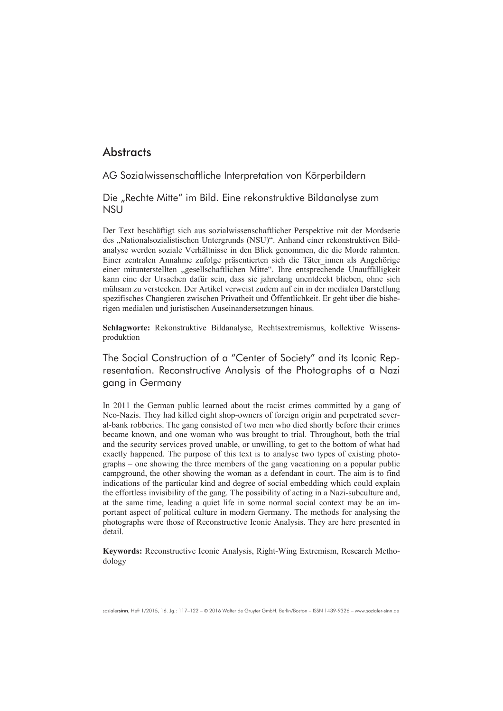# **Abstracts**

AG Sozialwissenschaftliche Interpretation von Körperbildern

Die "Rechte Mitte" im Bild. Eine rekonstruktive Bildanalyse zum **NSU** 

Der Text beschäftigt sich aus sozialwissenschaftlicher Perspektive mit der Mordserie des "Nationalsozialistischen Untergrunds (NSU)". Anhand einer rekonstruktiven Bildanalyse werden soziale Verhältnisse in den Blick genommen, die die Morde rahmten. Einer zentralen Annahme zufolge präsentierten sich die Täter\_innen als Angehörige einer mitunterstellten "gesellschaftlichen Mitte". Ihre entsprechende Unauffälligkeit kann eine der Ursachen dafür sein, dass sie jahrelang unentdeckt blieben, ohne sich mühsam zu verstecken. Der Artikel verweist zudem auf ein in der medialen Darstellung spezifisches Changieren zwischen Privatheit und Öffentlichkeit. Er geht über die bisherigen medialen und juristischen Auseinandersetzungen hinaus.

**Schlagworte:** Rekonstruktive Bildanalyse, Rechtsextremismus, kollektive Wissensproduktion

The Social Construction of a "Center of Society" and its Iconic Representation. Reconstructive Analysis of the Photographs of a Nazi gang in Germany

In 2011 the German public learned about the racist crimes committed by a gang of Neo-Nazis. They had killed eight shop-owners of foreign origin and perpetrated several-bank robberies. The gang consisted of two men who died shortly before their crimes became known, and one woman who was brought to trial. Throughout, both the trial and the security services proved unable, or unwilling, to get to the bottom of what had exactly happened. The purpose of this text is to analyse two types of existing photographs – one showing the three members of the gang vacationing on a popular public campground, the other showing the woman as a defendant in court. The aim is to find indications of the particular kind and degree of social embedding which could explain the effortless invisibility of the gang. The possibility of acting in a Nazi-subculture and, at the same time, leading a quiet life in some normal social context may be an important aspect of political culture in modern Germany. The methods for analysing the photographs were those of Reconstructive Iconic Analysis. They are here presented in detail<sup>-</sup>

**Keywords:** Reconstructive Iconic Analysis, Right-Wing Extremism, Research Methodology

sozialersinn, Heft 1/2015, 16. Ja.: 117–122 – © 2016 Walter de Gruyter GmbH, Berlin/Boston – ISSN 1439-9326 – www.sozialer-sinn.de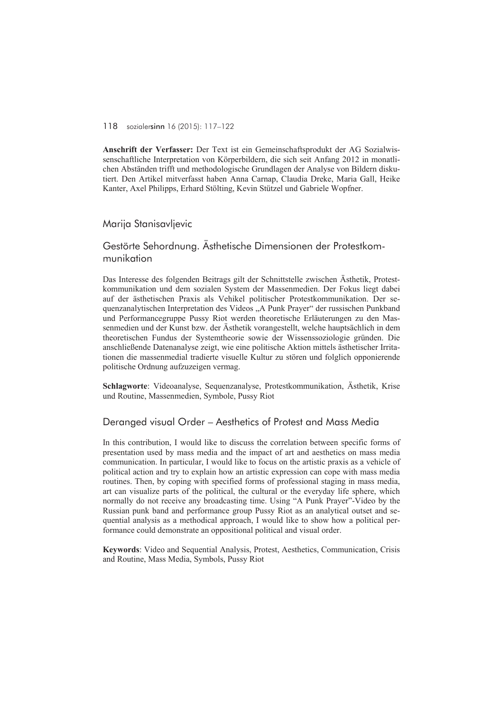#### 118 sozialersinn 16 (2015): 117–122

**Anschrift der Verfasser:** Der Text ist ein Gemeinschaftsprodukt der AG Sozialwissenschaftliche Interpretation von Körperbildern, die sich seit Anfang 2012 in monatlichen Abständen trifft und methodologische Grundlagen der Analyse von Bildern diskutiert. Den Artikel mitverfasst haben Anna Carnap, Claudia Dreke, Maria Gall, Heike Kanter, Axel Philipps, Erhard Stölting, Kevin Stützel und Gabriele Wopfner.

## Marija Stanisavljevic

# Gestörte Sehordnung. Ästhetische Dimensionen der Protestkommunikation

Das Interesse des folgenden Beitrags gilt der Schnittstelle zwischen Ästhetik, Protestkommunikation und dem sozialen System der Massenmedien. Der Fokus liegt dabei auf der ästhetischen Praxis als Vehikel politischer Protestkommunikation. Der sequenzanalytischen Interpretation des Videos "A Punk Prayer" der russischen Punkband und Performancegruppe Pussy Riot werden theoretische Erläuterungen zu den Massenmedien und der Kunst bzw. der Ästhetik vorangestellt, welche hauptsächlich in dem theoretischen Fundus der Systemtheorie sowie der Wissenssoziologie gründen. Die anschließende Datenanalyse zeigt, wie eine politische Aktion mittels ästhetischer Irritationen die massenmedial tradierte visuelle Kultur zu stören und folglich opponierende politische Ordnung aufzuzeigen vermag.

**Schlagworte**: Videoanalyse, Sequenzanalyse, Protestkommunikation, Ästhetik, Krise und Routine, Massenmedien, Symbole, Pussy Riot

## Deranged visual Order – Aesthetics of Protest and Mass Media

In this contribution, I would like to discuss the correlation between specific forms of presentation used by mass media and the impact of art and aesthetics on mass media communication. In particular, I would like to focus on the artistic praxis as a vehicle of political action and try to explain how an artistic expression can cope with mass media routines. Then, by coping with specified forms of professional staging in mass media, art can visualize parts of the political, the cultural or the everyday life sphere, which normally do not receive any broadcasting time. Using "A Punk Prayer"-Video by the Russian punk band and performance group Pussy Riot as an analytical outset and sequential analysis as a methodical approach, I would like to show how a political performance could demonstrate an oppositional political and visual order.

**Keywords**: Video and Sequential Analysis, Protest, Aesthetics, Communication, Crisis and Routine, Mass Media, Symbols, Pussy Riot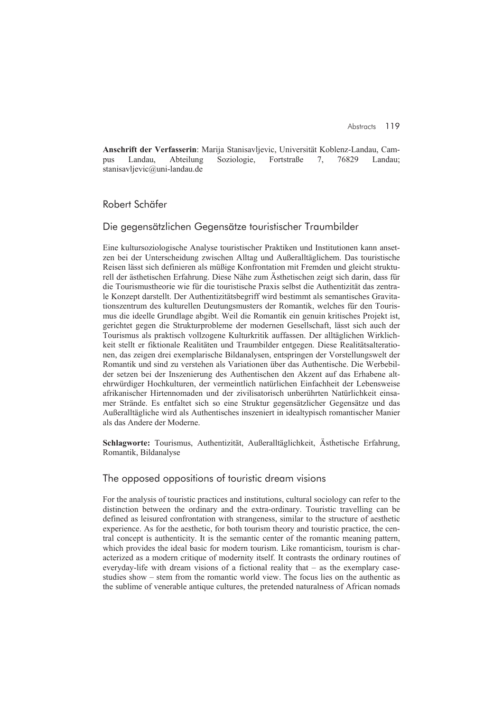**Anschrift der Verfasserin**: Marija Stanisavljevic, Universität Koblenz-Landau, Campus Landau, Abteilung Soziologie, Fortstraße 7, 76829 Landau; stanisavljevic@uni-landau.de

## Robert Schäfer

## Die gegensätzlichen Gegensätze touristischer Traumbilder

Eine kultursoziologische Analyse touristischer Praktiken und Institutionen kann ansetzen bei der Unterscheidung zwischen Alltag und Außeralltäglichem. Das touristische Reisen lässt sich definieren als müßige Konfrontation mit Fremden und gleicht strukturell der ästhetischen Erfahrung. Diese Nähe zum Ästhetischen zeigt sich darin, dass für die Tourismustheorie wie für die touristische Praxis selbst die Authentizität das zentrale Konzept darstellt. Der Authentizitätsbegriff wird bestimmt als semantisches Gravitationszentrum des kulturellen Deutungsmusters der Romantik, welches für den Tourismus die ideelle Grundlage abgibt. Weil die Romantik ein genuin kritisches Projekt ist, gerichtet gegen die Strukturprobleme der modernen Gesellschaft, lässt sich auch der Tourismus als praktisch vollzogene Kulturkritik auffassen. Der alltäglichen Wirklichkeit stellt er fiktionale Realitäten und Traumbilder entgegen. Diese Realitätsalterationen, das zeigen drei exemplarische Bildanalysen, entspringen der Vorstellungswelt der Romantik und sind zu verstehen als Variationen über das Authentische. Die Werbebilder setzen bei der Inszenierung des Authentischen den Akzent auf das Erhabene altehrwürdiger Hochkulturen, der vermeintlich natürlichen Einfachheit der Lebensweise afrikanischer Hirtennomaden und der zivilisatorisch unberührten Natürlichkeit einsamer Strände. Es entfaltet sich so eine Struktur gegensätzlicher Gegensätze und das Außeralltägliche wird als Authentisches inszeniert in idealtypisch romantischer Manier als das Andere der Moderne.

**Schlagworte:** Tourismus, Authentizität, Außeralltäglichkeit, Ästhetische Erfahrung, Romantik, Bildanalyse

## The opposed oppositions of touristic dream visions

For the analysis of touristic practices and institutions, cultural sociology can refer to the distinction between the ordinary and the extra-ordinary. Touristic travelling can be defined as leisured confrontation with strangeness, similar to the structure of aesthetic experience. As for the aesthetic, for both tourism theory and touristic practice, the central concept is authenticity. It is the semantic center of the romantic meaning pattern, which provides the ideal basic for modern tourism. Like romanticism, tourism is characterized as a modern critique of modernity itself. It contrasts the ordinary routines of everyday-life with dream visions of a fictional reality that – as the exemplary casestudies show – stem from the romantic world view. The focus lies on the authentic as the sublime of venerable antique cultures, the pretended naturalness of African nomads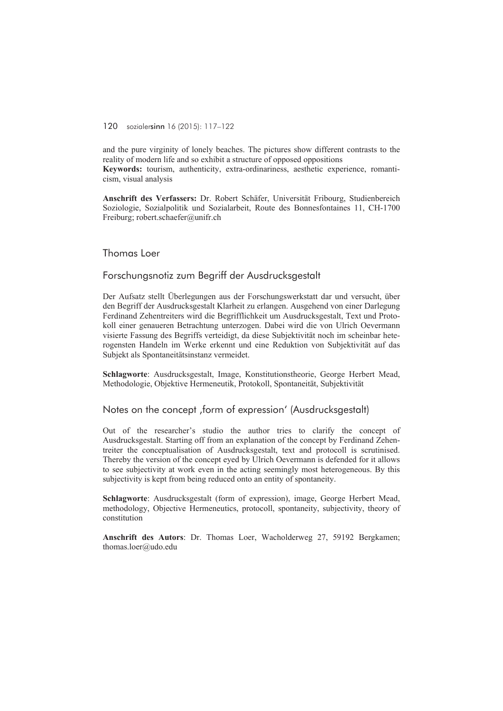#### 120 sozialersinn 16 (2015): 117–122

and the pure virginity of lonely beaches. The pictures show different contrasts to the reality of modern life and so exhibit a structure of opposed oppositions **Keywords:** tourism, authenticity, extra-ordinariness, aesthetic experience, romanti-

cism, visual analysis

**Anschrift des Verfassers:** Dr. Robert Schäfer, Universität Fribourg, Studienbereich Soziologie, Sozialpolitik und Sozialarbeit, Route des Bonnesfontaines 11, CH-1700 Freiburg; robert.schaefer@unifr.ch

#### Thomas Loer

## Forschungsnotiz zum Begriff der Ausdrucksgestalt

Der Aufsatz stellt Überlegungen aus der Forschungswerkstatt dar und versucht, über den Begriff der Ausdrucksgestalt Klarheit zu erlangen. Ausgehend von einer Darlegung Ferdinand Zehentreiters wird die Begrifflichkeit um Ausdrucksgestalt, Text und Protokoll einer genaueren Betrachtung unterzogen. Dabei wird die von Ulrich Oevermann visierte Fassung des Begriffs verteidigt, da diese Subjektivität noch im scheinbar heterogensten Handeln im Werke erkennt und eine Reduktion von Subjektivität auf das Subjekt als Spontaneitätsinstanz vermeidet.

**Schlagworte**: Ausdrucksgestalt, Image, Konstitutionstheorie, George Herbert Mead, Methodologie, Objektive Hermeneutik, Protokoll, Spontaneität, Subjektivität

## Notes on the concept , form of expression' (Ausdrucksgestalt)

Out of the researcher's studio the author tries to clarify the concept of Ausdrucksgestalt. Starting off from an explanation of the concept by Ferdinand Zehentreiter the conceptualisation of Ausdrucksgestalt, text and protocoll is scrutinised. Thereby the version of the concept eyed by Ulrich Oevermann is defended for it allows to see subjectivity at work even in the acting seemingly most heterogeneous. By this subjectivity is kept from being reduced onto an entity of spontaneity.

**Schlagworte**: Ausdrucksgestalt (form of expression), image, George Herbert Mead, methodology, Objective Hermeneutics, protocoll, spontaneity, subjectivity, theory of constitution

**Anschrift des Autors**: Dr. Thomas Loer, Wacholderweg 27, 59192 Bergkamen; thomas.loer@udo.edu